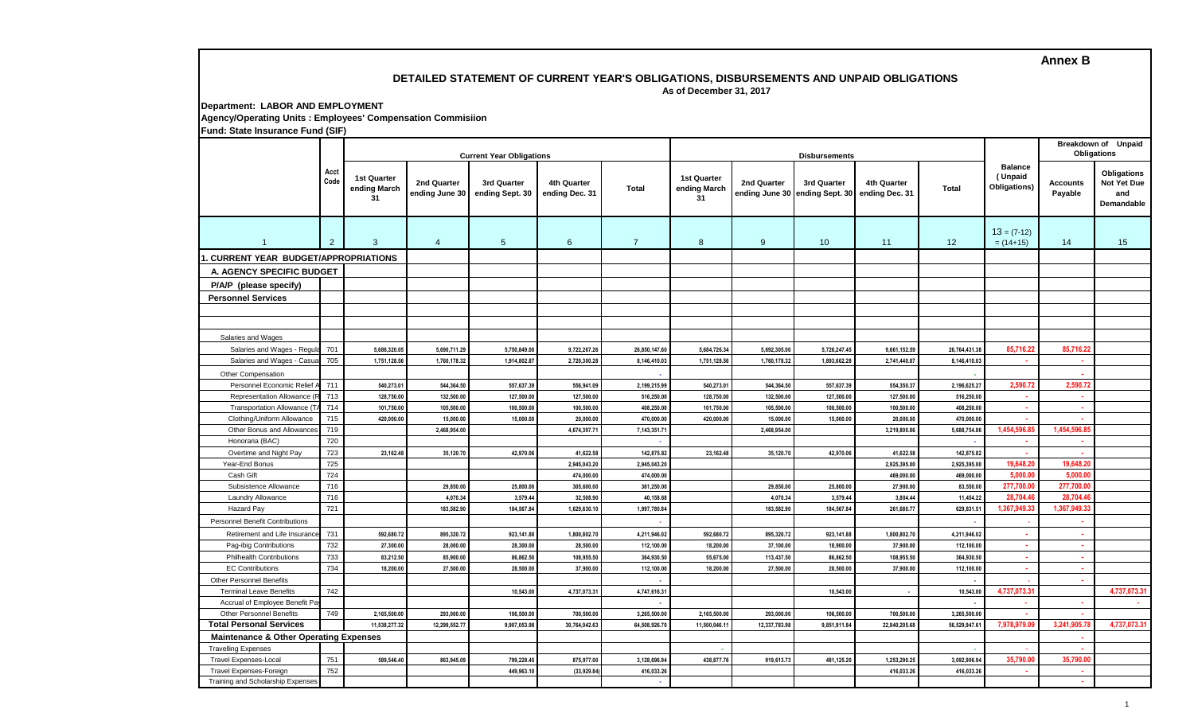## **Annex B**

#### **DETAILED STATEMENT OF CURRENT YEAR'S OBLIGATIONS, DISBURSEMENTS AND UNPAID OBLIGATIONS As of December 31, 2017**

#### **Department: LABOR AND EMPLOYMENT Agency/Operating Units : Employees' Compensation Commisiion Fund: State Insurance Fund (SIF)**

|                                                                   | Acct<br>Code | <b>Current Year Obligations</b>   |                               |                                |                               |                | <b>Disbursements</b>              |               |                                                              |               |               |                                           | Breakdown of Unpaid<br><b>Obligations</b> |                                                        |
|-------------------------------------------------------------------|--------------|-----------------------------------|-------------------------------|--------------------------------|-------------------------------|----------------|-----------------------------------|---------------|--------------------------------------------------------------|---------------|---------------|-------------------------------------------|-------------------------------------------|--------------------------------------------------------|
|                                                                   |              | 1st Quarter<br>ending March<br>31 | 2nd Quarter<br>ending June 30 | 3rd Quarter<br>ending Sept. 30 | 4th Quarter<br>ending Dec. 31 | <b>Total</b>   | 1st Quarter<br>ending March<br>31 | 2nd Quarter   | 3rd Quarter<br>ending June 30 ending Sept. 30 ending Dec. 31 | 4th Quarter   | <b>Total</b>  | <b>Balance</b><br>(Unpaid<br>Obligations) | <b>Accounts</b><br>Payable                | Obligations<br>Not Yet Due<br>and<br><b>Demandable</b> |
| $\overline{1}$                                                    | 2            | 3                                 | $\overline{4}$                | 5                              | 6                             | $\overline{7}$ | 8                                 | 9             | 10                                                           | 11            | 12            | $13 = (7-12)$<br>$= (14+15)$              | 14                                        | 15                                                     |
| CURRENT YEAR BUDGET/APPROPRIATIONS                                |              |                                   |                               |                                |                               |                |                                   |               |                                                              |               |               |                                           |                                           |                                                        |
| A. AGENCY SPECIFIC BUDGET                                         |              |                                   |                               |                                |                               |                |                                   |               |                                                              |               |               |                                           |                                           |                                                        |
| P/A/P (please specify)                                            |              |                                   |                               |                                |                               |                |                                   |               |                                                              |               |               |                                           |                                           |                                                        |
| <b>Personnel Services</b>                                         |              |                                   |                               |                                |                               |                |                                   |               |                                                              |               |               |                                           |                                           |                                                        |
|                                                                   |              |                                   |                               |                                |                               |                |                                   |               |                                                              |               |               |                                           |                                           |                                                        |
|                                                                   |              |                                   |                               |                                |                               |                |                                   |               |                                                              |               |               |                                           |                                           |                                                        |
| Salaries and Wages                                                |              |                                   |                               |                                |                               |                |                                   |               |                                                              |               |               |                                           |                                           |                                                        |
| Salaries and Wages - Regul                                        | 701          | 5.686.320.05                      | 5,690,711.29                  | 5,750,849.00                   | 9,722,267.26                  | 26,850,147.60  | 5,684,726.34                      | 5,692,305.00  | 5,726,247.45                                                 | 9,661,152.59  | 26,764,431.38 | 85,716.22                                 | 85,716.22                                 |                                                        |
| Salaries and Wages - Casua                                        | 705          | 1,751,128.5                       | 1,760,178.3                   | 1,914,802.87                   | 2,720,300.28                  | 8,146,410.03   | 1,751,128.56                      | 1,760,178.32  | 1,893,662.28                                                 | 2,741,440.8   | 8,146,410.03  |                                           | $\sim$                                    |                                                        |
| Other Compensation                                                |              |                                   |                               |                                |                               |                |                                   |               |                                                              |               |               |                                           |                                           |                                                        |
| Personnel Economic Relief                                         | 711          | 540,273.0                         | 544,364.50                    | 557,637.39                     | 556,941.09                    | 2,199,215.99   | 540,273.01                        | 544,364.50    | 557,637.39                                                   | 554,350.3     | 2,196,625.27  | 2,590.7                                   | 2.590.72                                  |                                                        |
| Representation Allowance (I                                       | 713          | 128,750.0                         | 132,500.00                    | 127,500.00                     | 127,500.00                    | 516,250.00     | 128,750.00                        | 132,500.00    | 127,500.00                                                   | 127,500.00    | 516,250.00    | ×.                                        | . п.                                      |                                                        |
| Transportation Allowance (T                                       | 714          | 101,750.0                         | 105,500.00                    | 100,500.00                     | 100,500.00                    | 408,250.00     | 101,750.00                        | 105,500.00    | 100,500.00                                                   | 100,500.00    | 408,250.00    | $\mathbf{r}$                              | $\sim$                                    |                                                        |
| Clothing/Uniform Allowance                                        | 715          | 420,000.0                         | 15,000.00                     | 15,000.00                      | 20,000.00                     | 470,000.00     | 420,000.00                        | 15,000.00     | 15,000.00                                                    | 20,000.00     | 470,000.00    |                                           | $\sim$                                    |                                                        |
| Other Bonus and Allowances                                        | 719          |                                   | 2,468,954.00                  |                                | 4,674,397.71                  | 7,143,351.71   |                                   | 2,468,954.00  |                                                              | 3,219,800.86  | 5,688,754.86  | 1,454,596.8                               | 1,454,596.85                              |                                                        |
| Honoraria (BAC)                                                   | 720          |                                   |                               |                                |                               |                |                                   |               |                                                              |               |               |                                           | ж.                                        |                                                        |
| Overtime and Night Pay                                            | 723          | 23.162.48                         | 35.120.70                     | 42.970.06                      | 41.622.58                     | 142.875.82     | 23,162.48                         | 35,120.70     | 42,970.06                                                    | 41.622.58     | 142,875.82    |                                           | . н.                                      |                                                        |
| Year-End Bonus                                                    | 725          |                                   |                               |                                | 2,945,043.20                  | 2,945,043.20   |                                   |               |                                                              | 2,925,395.00  | 2,925,395.00  | 19,648.2                                  | 19,648.20                                 |                                                        |
| Cash Gift                                                         | 724          |                                   |                               |                                | 474.000.00                    | 474.000.00     |                                   |               |                                                              | 469.000.0     | 469.000.00    | 5.000.C                                   | 5.000.00                                  |                                                        |
| Subsistence Allowance                                             | 716          |                                   | 29,850.00                     | 25,800.00                      | 305,600.00                    | 361,250.00     |                                   | 29,850.00     | 25,800.00                                                    | 27,900.00     | 83.550.00     | 277,700.0                                 | 277,700.00                                |                                                        |
| Laundry Allowance                                                 | 716          |                                   | 4.070.34                      | 3.579.44                       | 32,508.90                     | 40.158.68      |                                   | 4.070.34      | 3,579.44                                                     | 3.804.44      | 11.454.22     | 28,704.4                                  | 28,704.4                                  |                                                        |
| <b>Hazard Pay</b>                                                 | 721          |                                   | 183,582.90                    | 184,567.84                     | 1,629,630.10                  | 1,997,780.84   |                                   | 183,582.90    | 184,567.84                                                   | 261,680.77    | 629,831.51    | 1,367,949.3                               | 1,367,949.33                              |                                                        |
| <b>Personnel Benefit Contributions</b>                            |              |                                   |                               |                                |                               |                |                                   |               |                                                              |               |               |                                           |                                           |                                                        |
| Retirement and Life Insurance                                     | 731          | 592,680.72                        | 895,320.72                    | 923,141.88                     | 1,800,802.70                  | 4,211,946.02   | 592,680.72                        | 895,320.72    | 923,141.88                                                   | 1,800,802.70  | 4,211,946.02  |                                           | х.                                        |                                                        |
| Pag-ibig Contributions                                            | 732          | 27,300.00                         | 28,000.00                     | 28,300.00                      | 28,500.00                     | 112,100.00     | 18,200.00                         | 37,100.00     | 18,900.00                                                    | 37,900.00     | 112,100.00    | ×.                                        | <b>A</b>                                  |                                                        |
| <b>Philhealth Contributions</b>                                   | 733<br>734   | 83,212.50                         | 85,900.00                     | 86,862.50                      | 108,955.50                    | 364,930.50     | 55,675.00                         | 113,437.50    | 86,862.50                                                    | 108,955.50    | 364,930.50    | ×.                                        | . н.<br>.                                 |                                                        |
| <b>EC Contributions</b>                                           |              | 18,200.00                         | 27,500.00                     | 28,500.00                      | 37,900.00                     | 112,100.00     | 18,200.00                         | 27,500.00     | 28,500.00                                                    | 37,900.00     | 112,100.00    |                                           |                                           |                                                        |
| <b>Other Personnel Benefits</b><br><b>Terminal Leave Benefits</b> | 742          |                                   |                               | 10,543.00                      | 4,737,073.31                  | 4,747,616.31   |                                   |               | 10,543.00                                                    |               | 10,543.00     | 4,737,073.3                               | х.                                        | 4,737,073.31                                           |
| Accrual of Employee Benefit Pa                                    |              |                                   |                               |                                |                               |                |                                   |               |                                                              |               |               |                                           | <b>A</b>                                  |                                                        |
| <b>Other Personnel Benefits</b>                                   | 749          | 2,165,500.00                      | 293,000.00                    | 106,500.00                     | 700,500.00                    | 3,265,500.00   | 2,165,500.00                      | 293,000.00    | 106,500.00                                                   | 700,500.00    | 3,265,500.00  |                                           | n.                                        |                                                        |
| <b>Total Personal Services</b>                                    |              | 11,538,277.32                     | 12,299,552.77                 | 9,907,053.98                   | 30,764,042.63                 | 64,508,926.70  | 11,500,046.11                     | 12,337,783.98 | 9,851,911.84                                                 | 22,840,205.68 | 56,529,947.61 | 7,978,979.09                              | 3,241,905.78                              | 4,737,073.31                                           |
| <b>Maintenance &amp; Other Operating Expenses</b>                 |              |                                   |                               |                                |                               |                |                                   |               |                                                              |               |               | х.                                        |                                           |                                                        |
| <b>Travelling Expenses</b>                                        |              |                                   |                               |                                |                               |                |                                   |               |                                                              |               |               |                                           | 44                                        |                                                        |
| <b>Travel Expenses-Local</b>                                      | 751          | 589.546.40                        | 863.945.09                    | 799,228.45                     | 875,977.00                    | 3,128,696.94   | 438,877.76                        | 919,613.73    | 481,125.20                                                   | 1,253,290.25  | 3,092,906.94  | 35,790.0                                  | 35.790.00                                 |                                                        |
| <b>Travel Expenses-Foreign</b>                                    | 752          |                                   |                               | 449.963.10                     | (33,929.84                    | 416,033.26     |                                   |               |                                                              | 416.033.26    | 416.033.26    |                                           | <b>A</b>                                  |                                                        |
| Training and Scholarship Expenses                                 |              |                                   |                               |                                |                               | <b>.</b>       |                                   |               |                                                              |               |               |                                           | A.                                        |                                                        |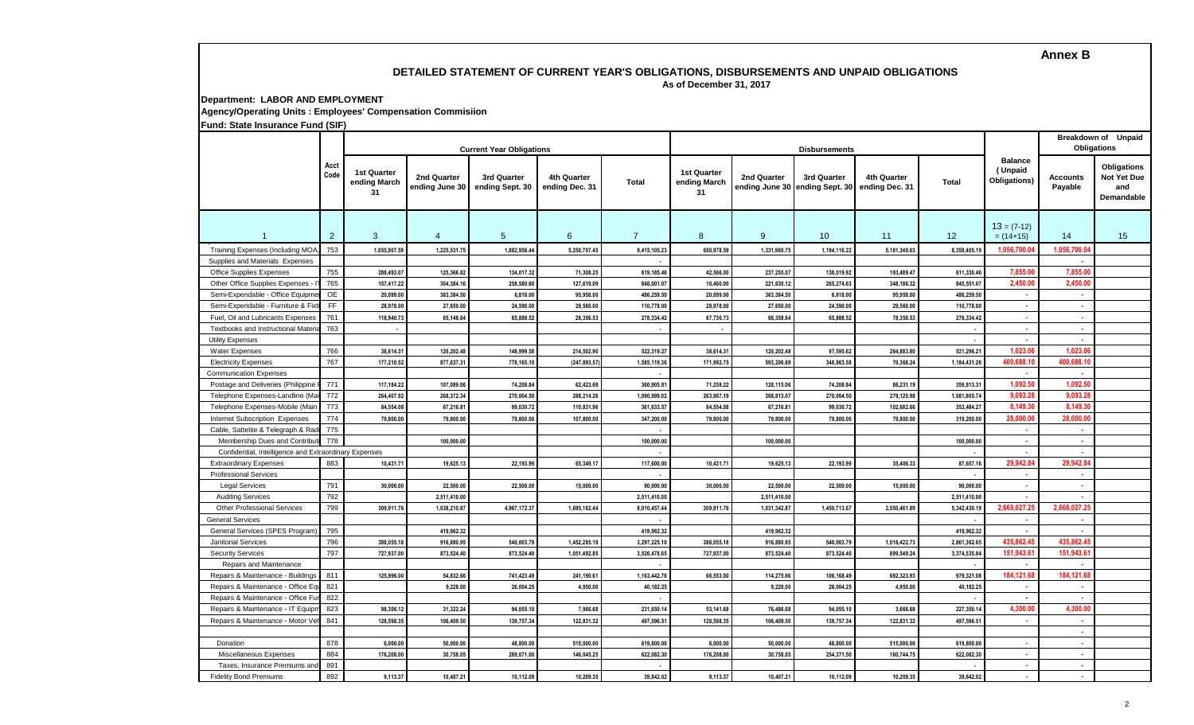# **Annex B**

# **DETAILED STATEMENT OF CURRENT YEAR'S OBLIGATIONS, DISBURSEMENTS AND UNPAID OBLIGATIONS**

 **As of December 31, 2017**

**Department: LABOR AND EMPLOYMENT**

**Agency/Operating Units : Employees' Compensation Commisiion**

**Fund: State Insurance Fund (SIF)**

|                                                       | Acct<br>Code   |                                   |                               | <b>Current Year Obligations</b> |                               |                | <b>Disbursements</b>                     |              |                                               |                               |              |                                           | <b>Breakdown of Unpaid</b><br>Obligations |                                                               |
|-------------------------------------------------------|----------------|-----------------------------------|-------------------------------|---------------------------------|-------------------------------|----------------|------------------------------------------|--------------|-----------------------------------------------|-------------------------------|--------------|-------------------------------------------|-------------------------------------------|---------------------------------------------------------------|
|                                                       |                | 1st Quarter<br>ending March<br>31 | 2nd Quarter<br>ending June 30 | 3rd Quarter<br>ending Sept. 30  | 4th Quarter<br>ending Dec. 31 | <b>Total</b>   | <b>1st Quarter</b><br>ending March<br>31 | 2nd Quarter  | 3rd Quarter<br>ending June 30 ending Sept. 30 | 4th Quarter<br>ending Dec. 31 | <b>Total</b> | <b>Balance</b><br>(Unpaid<br>Obligations) | <b>Accounts</b><br>Payable                | <b>Obligations</b><br><b>Not Yet Due</b><br>and<br>Demandable |
|                                                       | $\overline{2}$ | 3                                 | $\overline{4}$                | 5                               | 6                             | $\overline{7}$ | 8                                        | 9            | 10 <sup>°</sup>                               | 11                            | 12           | $13 = (7-12)$<br>$= (14+15)$              | 14                                        | 15                                                            |
| Training Expenses (Including MOA                      | 753            | 1,055,907.59                      | 1,225,531.7                   | 1,882,958.4                     | 5,250,707.4                   | 9,415,105.23   | 650,978.59                               | 1,331,960.7  | 1,194,116.22                                  | 5,181,349.63                  | 8,358,405.1  | 1,056,700.0                               | 1,056,700.0                               |                                                               |
| Supplies and Materials Expenses                       |                |                                   |                               |                                 |                               |                |                                          |              |                                               |                               |              |                                           | ×                                         |                                                               |
| Office Supplies Expenses                              | 755            | 288,493.07                        | 125,366.82                    | 134,017.32                      | 71,308.25                     | 619,185.46     | 42,566.00                                | 237,255.07   | 138,019.92                                    | 193,489.47                    | 611,330.46   | 7,855.0                                   | 7,855.0                                   |                                                               |
| Other Office Supplies Expenses                        | 765            | 157,417.22                        | 304.384.1                     | 258.580.60                      | 127,619.09                    | 848,001.07     | 10,460.00                                | 221.630.12   | 265,274.63                                    | 348.186.32                    | 845,551.07   | 2,450.0                                   | 2.450.00                                  |                                                               |
| Semi-Expendable - Office Equipm                       | OE             | 20,099.0                          | 363.384.50                    | 6,818.00                        | 95,958.00                     | 486,259.50     | 20,099.00                                | 363.384.50   | 6,818.00                                      | 95,958.00                     | 486,259.50   | $\sim$                                    | $\sim$                                    |                                                               |
| Semi-Expendable - Furniture & Fi:                     | FF             | 28,978.00                         | 27,650.0                      | 24,590.00                       | 29,560.00                     | 110,778.00     | 28,978.00                                | 27,650.00    | 24,590.00                                     | 29,560.00                     | 110,778.00   | $\sim$                                    | 14                                        |                                                               |
| Fuel, Oil and Lubricants Expenses                     | 761            | 118,940.73                        | 65,148.64                     | 65,888.52                       | 28,356.53                     | 278,334.42     | 67,730.73                                | 66,358.64    | 65,888.52                                     | 78,356.53                     | 278,334.42   | $\sim$                                    | a.                                        |                                                               |
| Textbooks and Instructional Mater                     | 763            |                                   |                               |                                 |                               | r.             | $\overline{\phantom{a}}$                 |              |                                               |                               |              | ×.                                        | $\sim$                                    |                                                               |
| <b>Utility Expenses</b>                               |                |                                   |                               |                                 |                               |                |                                          |              |                                               |                               |              |                                           | $\sim$                                    |                                                               |
| <b>Water Expenses</b>                                 | 766            | 38,614.3                          | 120,202.48                    | 148,999.58                      | 214,502.90                    | 522,319.27     | 38,614.31                                | 120,202.48   | 97,595.62                                     | 264,883.80                    | 521,296.2    | 1,023.06                                  | 1,023.0                                   |                                                               |
| <b>Electricity Expenses</b>                           | 767            | 177,210.52                        | 877,637.3                     | 778,165.1                       | (247, 893.5)                  | 1,585,119.36   | 171,992.75                               | 593,206.69   | 348,863.58                                    | 70,368.24                     | 1,184,431.2  | 400,688.10                                | 400,688.1                                 |                                                               |
| <b>Communication Expenses</b>                         |                |                                   |                               |                                 |                               |                |                                          |              |                                               |                               |              |                                           | ×                                         |                                                               |
| Postage and Deliveries (Philippine                    | 771            | 117,184.22                        | 107,089.06                    | 74,208.84                       | 62,423.69                     | 360,905.81     | 71,258.22                                | 128,115.06   | 74,208.84                                     | 86,231.19                     | 359,813.3    | 1,092.5                                   | 1,092.5                                   |                                                               |
| Telephone Expenses-Landline (Ma                       | 772            | 264.407.92                        | 268.372.34                    | 270.004.50                      | 288.214.26                    | 1.090.999.02   | 263,967.19                               | 268.813.07   | 270.004.50                                    | 279.120.98                    | 1.081.905.74 | 9,093.2                                   | 9.093.2                                   |                                                               |
| Telephone Expenses-Mobile (Mair                       | 773            | 84.554.08                         | 67,216.81                     | 99,030.72                       | 110,831.96                    | 361,633.57     | 84.554.08                                | 67,216.81    | 99,030.72                                     | 102,682.66                    | 353,484.27   | 8.149.3                                   | 8.149.3                                   |                                                               |
| Internet Subscription Expenses                        | 774            | 79,800.00                         | 79,800.00                     | 79,800.00                       | 107,800.00                    | 347,200.00     | 79,800.00                                | 79,800.00    | 79,800.00                                     | 79,800.00                     | 319,200.00   | 28,000.0                                  | 28,000.0                                  |                                                               |
| Cable, Sattelite & Telegraph & Ra                     | 775            |                                   |                               |                                 |                               |                |                                          |              |                                               |                               |              | . .                                       | $\sim$                                    |                                                               |
| Membership Dues and Contribut                         | 778            |                                   | 100,000.00                    |                                 |                               | 100,000.00     |                                          | 100,000.00   |                                               |                               | 100,000.00   | . н.                                      | ×.                                        |                                                               |
| Confidential, Intelligence and Extraordinary Expenses |                |                                   |                               |                                 |                               | ÷.             |                                          |              |                                               |                               |              | ×.                                        | ×.                                        |                                                               |
| <b>Extraordinary Expenses</b>                         | 883            | 10,431.71                         | 19,625.13                     | 22,193.99                       | 65,349.17                     | 117,600.00     | 10,431.71                                | 19,625.13    | 22,193.99                                     | 35,406.33                     | 87,657.1     | 29,942.84                                 | 29.942.84                                 |                                                               |
| <b>Professional Services</b>                          |                |                                   |                               |                                 |                               | n.             |                                          |              |                                               |                               |              | ×.                                        | $\sim$                                    |                                                               |
| <b>Legal Services</b>                                 | 791            | 30,000.00                         | 22,500.00                     | 22,500.00                       | 15,000.00                     | 90,000.00      | 30,000.00                                | 22,500.00    | 22,500.00                                     | 15,000.00                     | 90,000.00    | $\sim$                                    | $\mathbf{r}$                              |                                                               |
| <b>Auditing Services</b>                              | 792            |                                   | 2,511,410.00                  |                                 |                               | 2,511,410.00   |                                          | 2,511,410.00 |                                               |                               | 2,511,410.0  | $\sim$                                    | 14                                        |                                                               |
| <b>Other Professional Services</b>                    | 799            | 309,911.76                        | 1,038,210.87                  | 4,967,172.37                    | 1.695.162.44                  | 8,010,457.44   | 309,911.76                               | 1.031.342.87 | 1,450,713.67                                  | 2.550.461.89                  | 5,342,430.1  | 2.668.027.25                              | 2.668.027.2                               |                                                               |
| <b>General Services</b>                               |                |                                   |                               |                                 |                               |                |                                          |              |                                               |                               |              |                                           | - 11                                      |                                                               |
| General Services (SPES Program                        | 795            |                                   | 419,962.3                     |                                 |                               | 419,962.32     |                                          | 419,962.32   |                                               |                               | 419,962.3    |                                           | $\sim$                                    |                                                               |
| <b>Janitorial Services</b>                            | 796            | 388,055.18                        | 916,880.9                     | 540,003.7                       | 1,452,285.18                  | 3,297,225.10   | 388,055.18                               | 916,880.95   | 540,003.79                                    | 1,016,422.73                  | 2,861,362.6  | 435,862.45                                | 435,862.4                                 |                                                               |
| <b>Security Services</b>                              | 797            | 727,937.00                        | 873,524.40                    | 873,524.40                      | 1,051,492.8                   | 3,526,478.65   | 727,937.00                               | 873,524.40   | 873,524.40                                    | 899,549.24                    | 3,374,535.0  | 151,943.6                                 | 151,943.6                                 |                                                               |
| Repairs and Maintenance                               |                |                                   |                               |                                 |                               |                |                                          |              |                                               |                               |              |                                           | ٠.                                        |                                                               |
| Repairs & Maintenance - Building                      | 811            | 125,996.00                        | 54,832.66                     | 741.423.49                      | 241,190.6                     | 1,163,442.76   | 66,553.00                                | 114,275.66   | 106,168.49                                    | 692.323.93                    | 979,321.0    | 184,121.6                                 | 184,121.6                                 |                                                               |
| Repairs & Maintenance - Office E                      | 821            |                                   | 9,228.00                      | 26,004.25                       | 4,950.00                      | 40,182.25      |                                          | 9.228.00     | 26,004.25                                     | 4,950.00                      | 40,182.25    |                                           | $\sim$                                    |                                                               |
| Repairs & Maintenance - Office F                      | 822            |                                   |                               |                                 |                               |                |                                          |              |                                               |                               |              |                                           | ×                                         |                                                               |
| Repairs & Maintenance - IT Equip                      | 823            | 98,306.12                         | 31,322.24                     | 94,055.1                        | 7,966.68                      | 231,650.14     | 53,141.68                                | 76,486.68    | 94,055.10                                     | 3,666.68                      | 227,350.1    | 4,300.0                                   | 4,300.0                                   |                                                               |
| Repairs & Maintenance - Motor Vo                      | 841            | 128,598.35                        | 106,409.50                    | 139,757.34                      | 122,831.32                    | 497,596.51     | 128,598.35                               | 106,409.50   | 139,757.34                                    | 122,831.32                    | 497,596.5    | . п.                                      | . н.                                      |                                                               |
|                                                       |                |                                   |                               |                                 |                               |                |                                          |              |                                               |                               |              |                                           | . н.                                      |                                                               |
| Donation                                              | 878            | 6,000.00                          | 50,000.00                     | 48,800.00                       | 515,000.00                    | 619,800.00     | 6,000.00                                 | 50,000.00    | 48,800.00                                     | 515,000.00                    | 619,800.0    | ×.                                        | $\sim$                                    |                                                               |
| Miscellaneous Expenses                                | 884            | 176,208.00                        | 30,758.05                     | 269,071.00                      | 146,045.25                    | 622,082.30     | 176,208.00                               | 30,758.0     | 254,371.50                                    | 160,744.75                    | 622,082.30   | ×.                                        | ×.                                        |                                                               |
| Taxes, Insurance Premiums an                          | 891            |                                   |                               |                                 |                               |                |                                          |              |                                               |                               |              | ×.                                        | <b>Section</b>                            |                                                               |
| <b>Fidelity Bond Premiums</b>                         | 892            | 9.113.37                          | 10.407.21                     | 10.112.09                       | 10.209.35                     | 39.842.02      | 9.113.37                                 | 10.407.21    | 10.112.09                                     | 10.209.35                     | 39.842.02    |                                           | ×.                                        |                                                               |